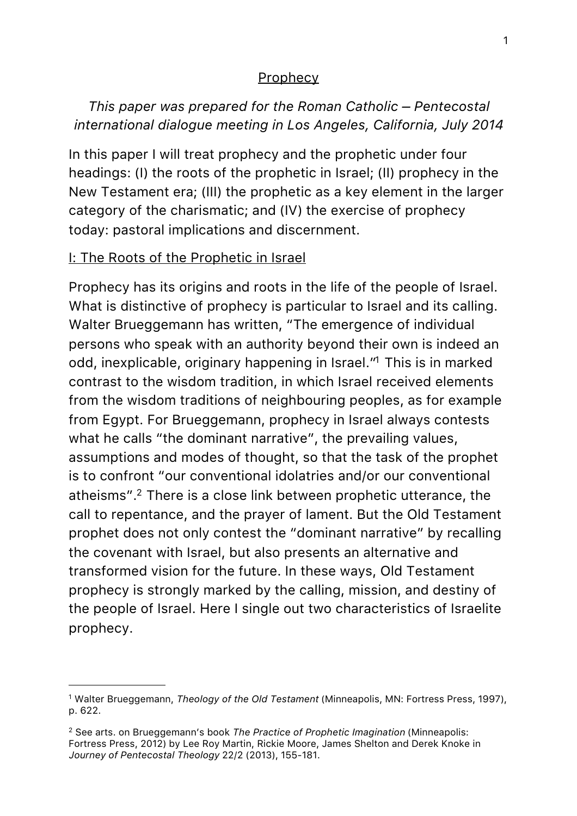#### **Prophecy**

# *This paper was prepared for the Roman Catholic – Pentecostal international dialogue meeting in Los Angeles, California, July 2014*

In this paper I will treat prophecy and the prophetic under four headings: (I) the roots of the prophetic in Israel; (II) prophecy in the New Testament era; (III) the prophetic as a key element in the larger category of the charismatic; and (IV) the exercise of prophecy today: pastoral implications and discernment.

### I: The Roots of the Prophetic in Israel

Prophecy has its origins and roots in the life of the people of Israel. What is distinctive of prophecy is particular to Israel and its calling. Walter Brueggemann has written, "The emergence of individual persons who speak with an authority beyond their own is indeed an odd, inexplicable, originary happening in Israel.["1](#page-0-0) This is in marked contrast to the wisdom tradition, in which Israel received elements from the wisdom traditions of neighbouring peoples, as for example from Egypt. For Brueggemann, prophecy in Israel always contests what he calls "the dominant narrative", the prevailing values, assumptions and modes of thought, so that the task of the prophet is to confront "our conventional idolatries and/or our conventional atheisms"[.2](#page-0-1) There is a close link between prophetic utterance, the call to repentance, and the prayer of lament. But the Old Testament prophet does not only contest the "dominant narrative" by recalling the covenant with Israel, but also presents an alternative and transformed vision for the future. In these ways, Old Testament prophecy is strongly marked by the calling, mission, and destiny of the people of Israel. Here I single out two characteristics of Israelite prophecy.

<span id="page-0-0"></span><sup>1</sup> Walter Brueggemann, *Theology of the Old Testament* (Minneapolis, MN: Fortress Press, 1997), p. 622.

<span id="page-0-1"></span><sup>2</sup> See arts. on Brueggemann's book *The Practice of Prophetic Imagination* (Minneapolis: Fortress Press, 2012) by Lee Roy Martin, Rickie Moore, James Shelton and Derek Knoke in *Journey of Pentecostal Theology* 22/2 (2013), 155-181.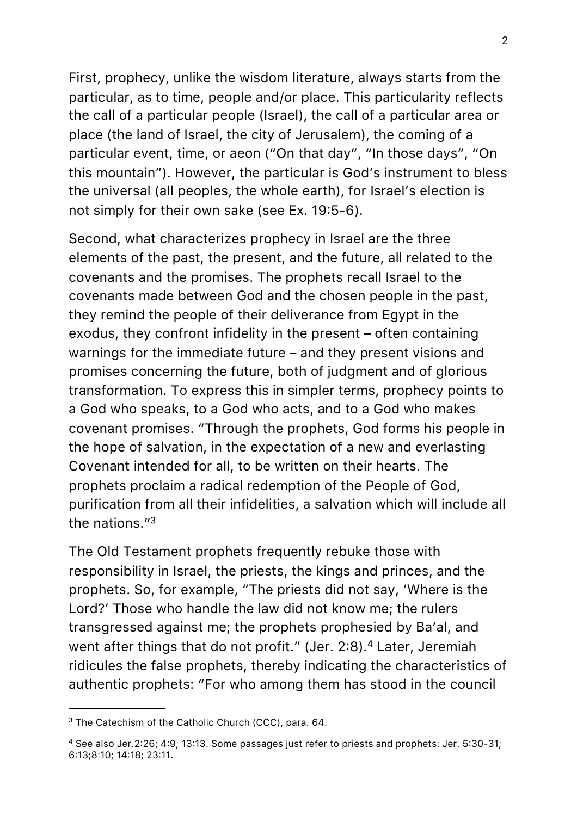First, prophecy, unlike the wisdom literature, always starts from the particular, as to time, people and/or place. This particularity reflects the call of a particular people (Israel), the call of a particular area or place (the land of Israel, the city of Jerusalem), the coming of a particular event, time, or aeon ("On that day", "In those days", "On this mountain"). However, the particular is God's instrument to bless the universal (all peoples, the whole earth), for Israel's election is not simply for their own sake (see Ex. 19:5-6).

Second, what characterizes prophecy in Israel are the three elements of the past, the present, and the future, all related to the covenants and the promises. The prophets recall Israel to the covenants made between God and the chosen people in the past, they remind the people of their deliverance from Egypt in the exodus, they confront infidelity in the present – often containing warnings for the immediate future – and they present visions and promises concerning the future, both of judgment and of glorious transformation. To express this in simpler terms, prophecy points to a God who speaks, to a God who acts, and to a God who makes covenant promises. "Through the prophets, God forms his people in the hope of salvation, in the expectation of a new and everlasting Covenant intended for all, to be written on their hearts. The prophets proclaim a radical redemption of the People of God, purification from all their infidelities, a salvation which will include all the nations.["3](#page-1-0)

The Old Testament prophets frequently rebuke those with responsibility in Israel, the priests, the kings and princes, and the prophets. So, for example, "The priests did not say, 'Where is the Lord?' Those who handle the law did not know me; the rulers transgressed against me; the prophets prophesied by Ba'al, and went after things that do not profit." (Jer. 2:8).<sup>4</sup> Later, Jeremiah ridicules the false prophets, thereby indicating the characteristics of authentic prophets: "For who among them has stood in the council

<span id="page-1-0"></span><sup>&</sup>lt;sup>3</sup> The Catechism of the Catholic Church (CCC), para. 64.

<span id="page-1-1"></span><sup>4</sup> See also Jer.2:26; 4:9; 13:13. Some passages just refer to priests and prophets: Jer. 5:30-31; 6:13;8:10; 14:18; 23:11.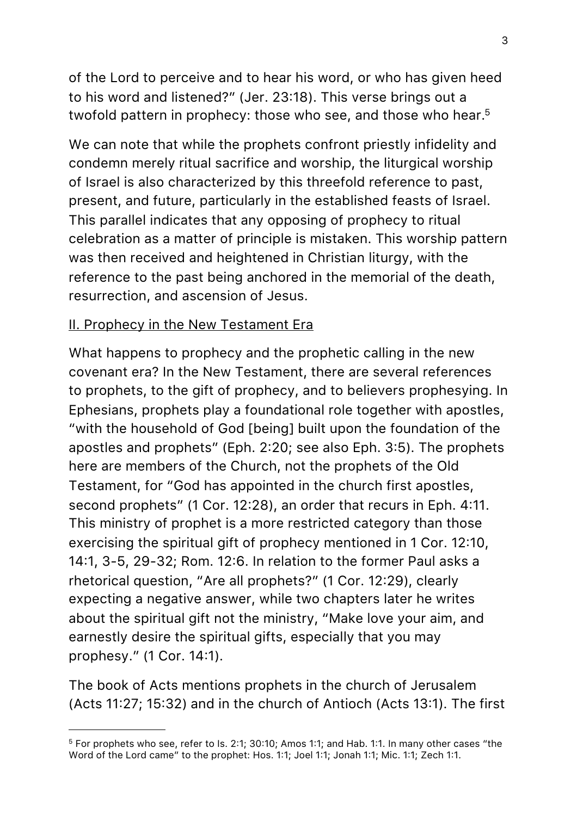of the Lord to perceive and to hear his word, or who has given heed to his word and listened?" (Jer. 23:18). This verse brings out a twofold pattern in prophecy: those who see, and those who hear.<sup>5</sup>

We can note that while the prophets confront priestly infidelity and condemn merely ritual sacrifice and worship, the liturgical worship of Israel is also characterized by this threefold reference to past, present, and future, particularly in the established feasts of Israel. This parallel indicates that any opposing of prophecy to ritual celebration as a matter of principle is mistaken. This worship pattern was then received and heightened in Christian liturgy, with the reference to the past being anchored in the memorial of the death, resurrection, and ascension of Jesus.

#### II. Prophecy in the New Testament Era

What happens to prophecy and the prophetic calling in the new covenant era? In the New Testament, there are several references to prophets, to the gift of prophecy, and to believers prophesying. In Ephesians, prophets play a foundational role together with apostles, "with the household of God [being] built upon the foundation of the apostles and prophets" (Eph. 2:20; see also Eph. 3:5). The prophets here are members of the Church, not the prophets of the Old Testament, for "God has appointed in the church first apostles, second prophets" (1 Cor. 12:28), an order that recurs in Eph. 4:11. This ministry of prophet is a more restricted category than those exercising the spiritual gift of prophecy mentioned in 1 Cor. 12:10, 14:1, 3-5, 29-32; Rom. 12:6. In relation to the former Paul asks a rhetorical question, "Are all prophets?" (1 Cor. 12:29), clearly expecting a negative answer, while two chapters later he writes about the spiritual gift not the ministry, "Make love your aim, and earnestly desire the spiritual gifts, especially that you may prophesy." (1 Cor. 14:1).

The book of Acts mentions prophets in the church of Jerusalem (Acts 11:27; 15:32) and in the church of Antioch (Acts 13:1). The first

<span id="page-2-0"></span><sup>5</sup> For prophets who see, refer to Is. 2:1; 30:10; Amos 1:1; and Hab. 1:1. In many other cases "the Word of the Lord came" to the prophet: Hos. 1:1; Joel 1:1; Jonah 1:1; Mic. 1:1; Zech 1:1.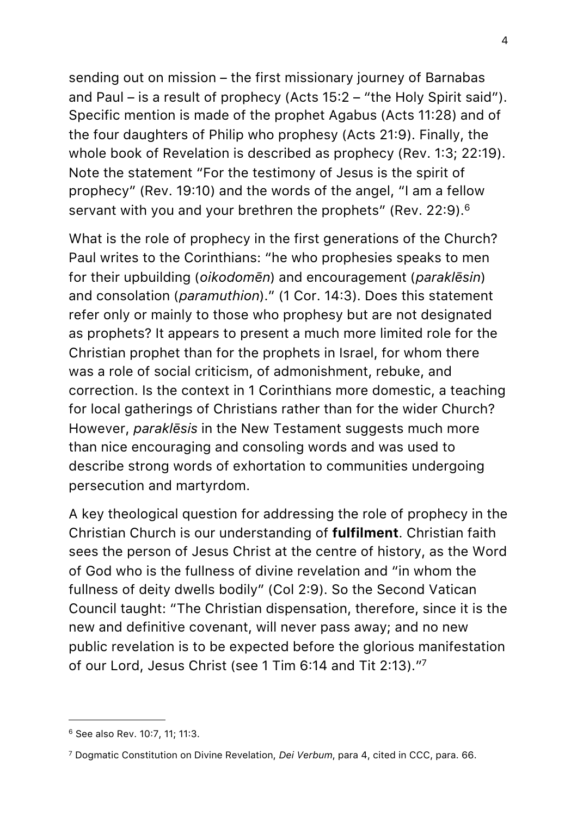sending out on mission – the first missionary journey of Barnabas and Paul – is a result of prophecy (Acts 15:2 – "the Holy Spirit said"). Specific mention is made of the prophet Agabus (Acts 11:28) and of the four daughters of Philip who prophesy (Acts 21:9). Finally, the whole book of Revelation is described as prophecy (Rev. 1:3; 22:19). Note the statement "For the testimony of Jesus is the spirit of prophecy" (Rev. 19:10) and the words of the angel, "I am a fellow servant with you and your brethren the prophets" (Rev. 22:9).<sup>[6](#page-3-0)</sup>

What is the role of prophecy in the first generations of the Church? Paul writes to the Corinthians: "he who prophesies speaks to men for their upbuilding (*oikodomēn*) and encouragement (*paraklēsin*) and consolation (*paramuthion*)." (1 Cor. 14:3). Does this statement refer only or mainly to those who prophesy but are not designated as prophets? It appears to present a much more limited role for the Christian prophet than for the prophets in Israel, for whom there was a role of social criticism, of admonishment, rebuke, and correction. Is the context in 1 Corinthians more domestic, a teaching for local gatherings of Christians rather than for the wider Church? However, *paraklēsis* in the New Testament suggests much more than nice encouraging and consoling words and was used to describe strong words of exhortation to communities undergoing persecution and martyrdom.

A key theological question for addressing the role of prophecy in the Christian Church is our understanding of **fulfilment**. Christian faith sees the person of Jesus Christ at the centre of history, as the Word of God who is the fullness of divine revelation and "in whom the fullness of deity dwells bodily" (Col 2:9). So the Second Vatican Council taught: "The Christian dispensation, therefore, since it is the new and definitive covenant, will never pass away; and no new public revelation is to be expected before the glorious manifestation of our Lord, Jesus Christ (see 1 Tim 6:14 and Tit 2:13).["7](#page-3-1)

<span id="page-3-0"></span><sup>6</sup> See also Rev. 10:7, 11; 11:3.

<span id="page-3-1"></span><sup>7</sup> Dogmatic Constitution on Divine Revelation, *Dei Verbum*, para 4, cited in CCC, para. 66.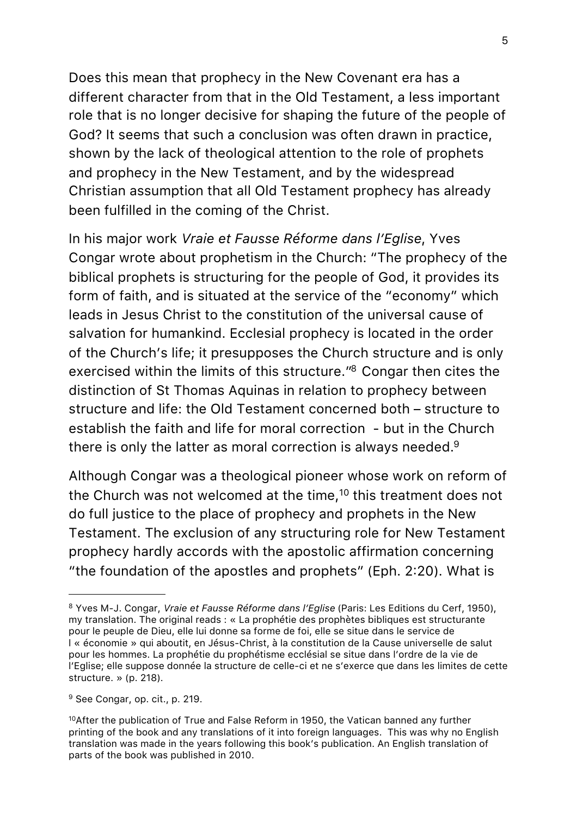Does this mean that prophecy in the New Covenant era has a different character from that in the Old Testament, a less important role that is no longer decisive for shaping the future of the people of God? It seems that such a conclusion was often drawn in practice, shown by the lack of theological attention to the role of prophets and prophecy in the New Testament, and by the widespread Christian assumption that all Old Testament prophecy has already been fulfilled in the coming of the Christ.

In his major work *Vraie et Fausse Réforme dans l'Eglise*, Yves Congar wrote about prophetism in the Church: "The prophecy of the biblical prophets is structuring for the people of God, it provides its form of faith, and is situated at the service of the "economy" which leads in Jesus Christ to the constitution of the universal cause of salvation for humankind. Ecclesial prophecy is located in the order of the Church's life; it presupposes the Church structure and is only exercised within the limits of this structure.["8](#page-4-0) Congar then cites the distinction of St Thomas Aquinas in relation to prophecy between structure and life: the Old Testament concerned both – structure to establish the faith and life for moral correction - but in the Church there is only the latter as moral correction is always needed[.9](#page-4-1)

Although Congar was a theological pioneer whose work on reform of the Church was not welcomed at the time,<sup>10</sup> this treatment does not do full justice to the place of prophecy and prophets in the New Testament. The exclusion of any structuring role for New Testament prophecy hardly accords with the apostolic affirmation concerning "the foundation of the apostles and prophets" (Eph. 2:20). What is

<span id="page-4-0"></span><sup>8</sup> Yves M-J. Congar, *Vraie et Fausse Réforme dans l'Eglise* (Paris: Les Editions du Cerf, 1950), my translation. The original reads : « La prophétie des prophètes bibliques est structurante pour le peuple de Dieu, elle lui donne sa forme de foi, elle se situe dans le service de l « économie » qui aboutit, en Jésus-Christ, à la constitution de la Cause universelle de salut pour les hommes. La prophétie du prophétisme ecclésial se situe dans l'ordre de la vie de l'Eglise; elle suppose donnée la structure de celle-ci et ne s'exerce que dans les limites de cette structure. » (p. 218).

<span id="page-4-1"></span><sup>9</sup> See Congar, op. cit., p. 219.

<span id="page-4-2"></span> $10$ After the publication of True and False Reform in 1950, the Vatican banned any further printing of the book and any translations of it into foreign languages. This was why no English translation was made in the years following this book's publication. An English translation of parts of the book was published in 2010.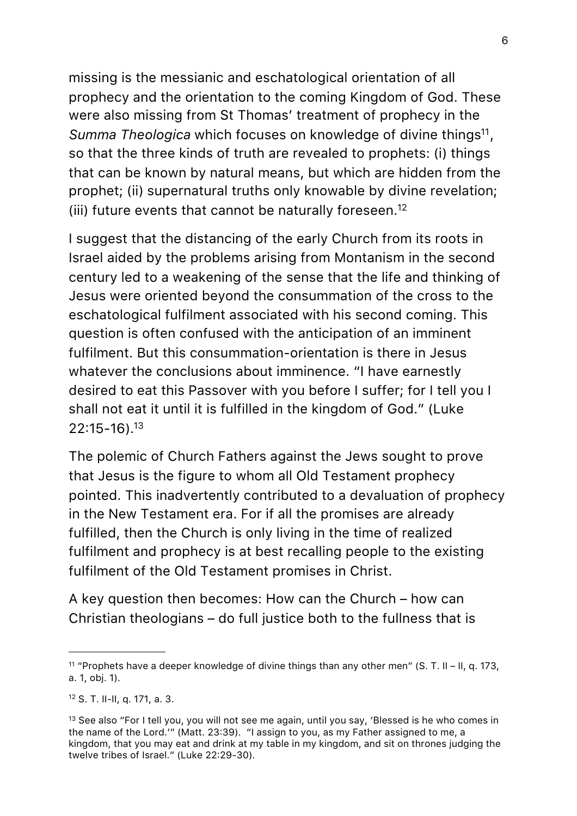missing is the messianic and eschatological orientation of all prophecy and the orientation to the coming Kingdom of God. These were also missing from St Thomas' treatment of prophecy in the *Summa Theologica* which focuses on knowledge of divine things<sup>11</sup>, so that the three kinds of truth are revealed to prophets: (i) things that can be known by natural means, but which are hidden from the prophet; (ii) supernatural truths only knowable by divine revelation; (iii) future events that cannot be naturally foreseen.<sup>12</sup>

I suggest that the distancing of the early Church from its roots in Israel aided by the problems arising from Montanism in the second century led to a weakening of the sense that the life and thinking of Jesus were oriented beyond the consummation of the cross to the eschatological fulfilment associated with his second coming. This question is often confused with the anticipation of an imminent fulfilment. But this consummation-orientation is there in Jesus whatever the conclusions about imminence. "I have earnestly desired to eat this Passover with you before I suffer; for I tell you I shall not eat it until it is fulfilled in the kingdom of God." (Luke 22:15-16)[.13](#page-5-2)

The polemic of Church Fathers against the Jews sought to prove that Jesus is the figure to whom all Old Testament prophecy pointed. This inadvertently contributed to a devaluation of prophecy in the New Testament era. For if all the promises are already fulfilled, then the Church is only living in the time of realized fulfilment and prophecy is at best recalling people to the existing fulfilment of the Old Testament promises in Christ.

A key question then becomes: How can the Church – how can Christian theologians – do full justice both to the fullness that is

<span id="page-5-0"></span><sup>&</sup>lt;sup>11</sup> "Prophets have a deeper knowledge of divine things than any other men" (S. T. II – II, q. 173, a. 1, obj. 1).

<span id="page-5-1"></span><sup>12</sup> S. T. II-II, q. 171, a. 3.

<span id="page-5-2"></span><sup>&</sup>lt;sup>13</sup> See also "For I tell you, you will not see me again, until you say, 'Blessed is he who comes in the name of the Lord.'" (Matt. 23:39). "I assign to you, as my Father assigned to me, a kingdom, that you may eat and drink at my table in my kingdom, and sit on thrones judging the twelve tribes of Israel." (Luke 22:29-30).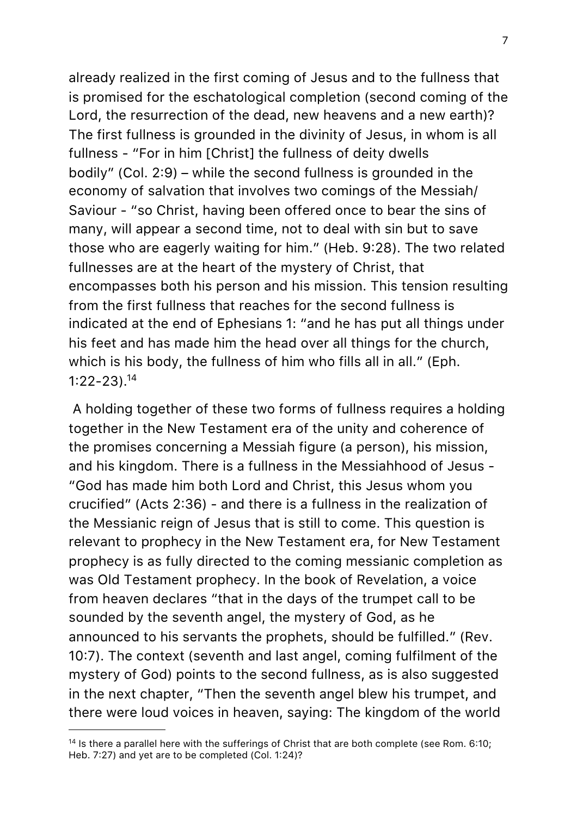already realized in the first coming of Jesus and to the fullness that is promised for the eschatological completion (second coming of the Lord, the resurrection of the dead, new heavens and a new earth)? The first fullness is grounded in the divinity of Jesus, in whom is all fullness - "For in him [Christ] the fullness of deity dwells bodily" (Col. 2:9) – while the second fullness is grounded in the economy of salvation that involves two comings of the Messiah/ Saviour - "so Christ, having been offered once to bear the sins of many, will appear a second time, not to deal with sin but to save those who are eagerly waiting for him." (Heb. 9:28). The two related fullnesses are at the heart of the mystery of Christ, that encompasses both his person and his mission. This tension resulting from the first fullness that reaches for the second fullness is indicated at the end of Ephesians 1: "and he has put all things under his feet and has made him the head over all things for the church, which is his body, the fullness of him who fills all in all." (Eph. 1:22-23)[.14](#page-6-0) 

 A holding together of these two forms of fullness requires a holding together in the New Testament era of the unity and coherence of the promises concerning a Messiah figure (a person), his mission, and his kingdom. There is a fullness in the Messiahhood of Jesus - "God has made him both Lord and Christ, this Jesus whom you crucified" (Acts 2:36) - and there is a fullness in the realization of the Messianic reign of Jesus that is still to come. This question is relevant to prophecy in the New Testament era, for New Testament prophecy is as fully directed to the coming messianic completion as was Old Testament prophecy. In the book of Revelation, a voice from heaven declares "that in the days of the trumpet call to be sounded by the seventh angel, the mystery of God, as he announced to his servants the prophets, should be fulfilled." (Rev. 10:7). The context (seventh and last angel, coming fulfilment of the mystery of God) points to the second fullness, as is also suggested in the next chapter, "Then the seventh angel blew his trumpet, and there were loud voices in heaven, saying: The kingdom of the world

<span id="page-6-0"></span> $14$  Is there a parallel here with the sufferings of Christ that are both complete (see Rom. 6:10; Heb. 7:27) and yet are to be completed (Col. 1:24)?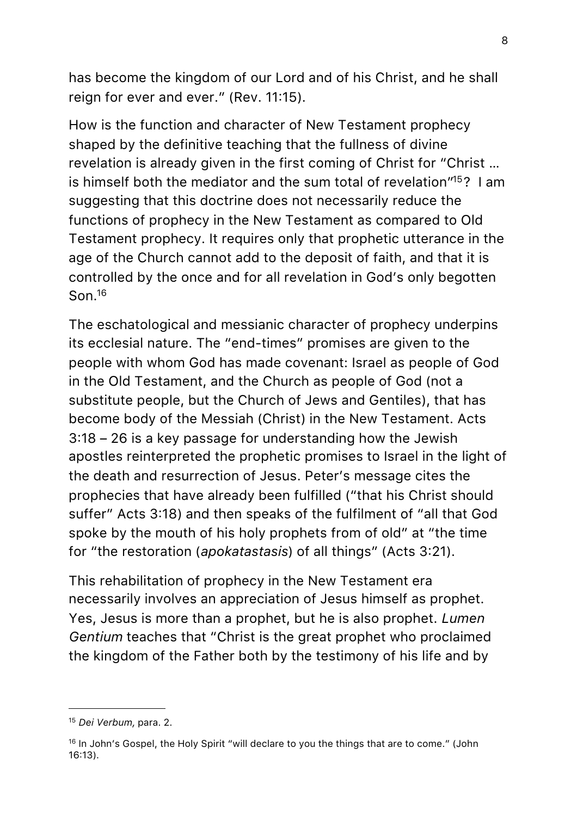has become the kingdom of our Lord and of his Christ, and he shall reign for ever and ever." (Rev. 11:15).

How is the function and character of New Testament prophecy shaped by the definitive teaching that the fullness of divine revelation is already given in the first coming of Christ for "Christ … is himself both the mediator and the sum total of revelation<sup>115</sup>? I am suggesting that this doctrine does not necessarily reduce the functions of prophecy in the New Testament as compared to Old Testament prophecy. It requires only that prophetic utterance in the age of the Church cannot add to the deposit of faith, and that it is controlled by the once and for all revelation in God's only begotten Son[.16](#page-7-1)

The eschatological and messianic character of prophecy underpins its ecclesial nature. The "end-times" promises are given to the people with whom God has made covenant: Israel as people of God in the Old Testament, and the Church as people of God (not a substitute people, but the Church of Jews and Gentiles), that has become body of the Messiah (Christ) in the New Testament. Acts 3:18 – 26 is a key passage for understanding how the Jewish apostles reinterpreted the prophetic promises to Israel in the light of the death and resurrection of Jesus. Peter's message cites the prophecies that have already been fulfilled ("that his Christ should suffer" Acts 3:18) and then speaks of the fulfilment of "all that God spoke by the mouth of his holy prophets from of old" at "the time for "the restoration (*apokatastasis*) of all things" (Acts 3:21).

This rehabilitation of prophecy in the New Testament era necessarily involves an appreciation of Jesus himself as prophet. Yes, Jesus is more than a prophet, but he is also prophet. *Lumen Gentium* teaches that "Christ is the great prophet who proclaimed the kingdom of the Father both by the testimony of his life and by

<span id="page-7-0"></span><sup>15</sup> *Dei Verbum,* para. 2.

<span id="page-7-1"></span><sup>&</sup>lt;sup>16</sup> In John's Gospel, the Holy Spirit "will declare to you the things that are to come." (John 16:13).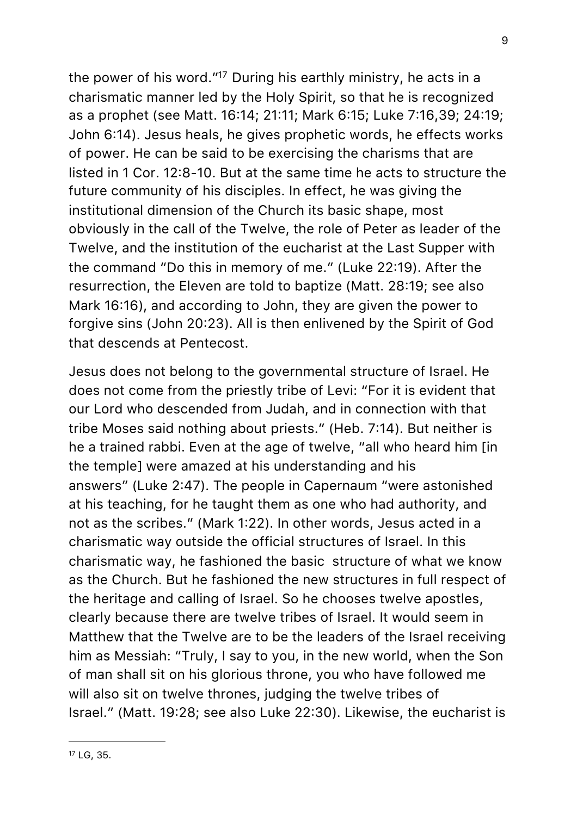the power of his word.["17](#page-8-0) During his earthly ministry, he acts in a charismatic manner led by the Holy Spirit, so that he is recognized as a prophet (see Matt. 16:14; 21:11; Mark 6:15; Luke 7:16,39; 24:19; John 6:14). Jesus heals, he gives prophetic words, he effects works of power. He can be said to be exercising the charisms that are listed in 1 Cor. 12:8-10. But at the same time he acts to structure the future community of his disciples. In effect, he was giving the institutional dimension of the Church its basic shape, most obviously in the call of the Twelve, the role of Peter as leader of the Twelve, and the institution of the eucharist at the Last Supper with the command "Do this in memory of me." (Luke 22:19). After the resurrection, the Eleven are told to baptize (Matt. 28:19; see also Mark 16:16), and according to John, they are given the power to forgive sins (John 20:23). All is then enlivened by the Spirit of God that descends at Pentecost.

Jesus does not belong to the governmental structure of Israel. He does not come from the priestly tribe of Levi: "For it is evident that our Lord who descended from Judah, and in connection with that tribe Moses said nothing about priests." (Heb. 7:14). But neither is he a trained rabbi. Even at the age of twelve, "all who heard him [in the temple] were amazed at his understanding and his answers" (Luke 2:47). The people in Capernaum "were astonished at his teaching, for he taught them as one who had authority, and not as the scribes." (Mark 1:22). In other words, Jesus acted in a charismatic way outside the official structures of Israel. In this charismatic way, he fashioned the basic structure of what we know as the Church. But he fashioned the new structures in full respect of the heritage and calling of Israel. So he chooses twelve apostles, clearly because there are twelve tribes of Israel. It would seem in Matthew that the Twelve are to be the leaders of the Israel receiving him as Messiah: "Truly, I say to you, in the new world, when the Son of man shall sit on his glorious throne, you who have followed me will also sit on twelve thrones, judging the twelve tribes of Israel." (Matt. 19:28; see also Luke 22:30). Likewise, the eucharist is

<span id="page-8-0"></span>17 LG, 35.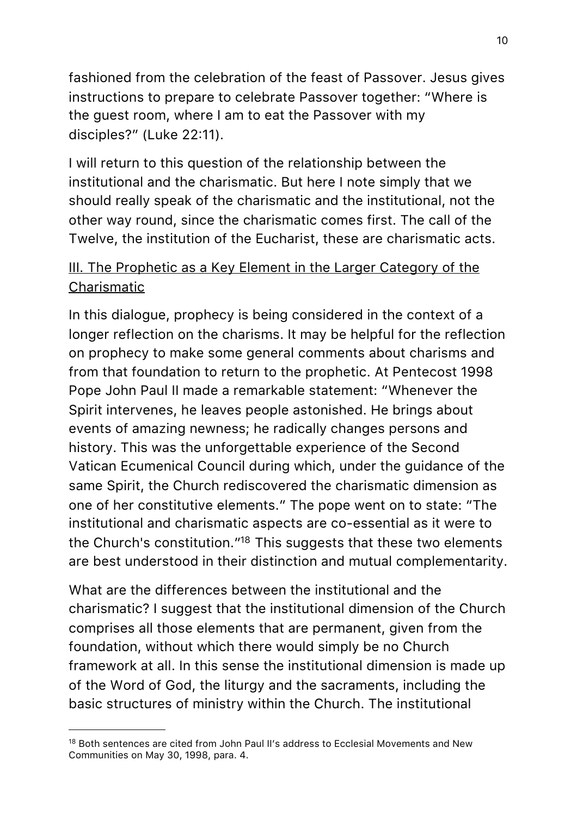fashioned from the celebration of the feast of Passover. Jesus gives instructions to prepare to celebrate Passover together: "Where is the guest room, where I am to eat the Passover with my disciples?" (Luke 22:11).

I will return to this question of the relationship between the institutional and the charismatic. But here I note simply that we should really speak of the charismatic and the institutional, not the other way round, since the charismatic comes first. The call of the Twelve, the institution of the Eucharist, these are charismatic acts.

# III. The Prophetic as a Key Element in the Larger Category of the Charismatic

In this dialogue, prophecy is being considered in the context of a longer reflection on the charisms. It may be helpful for the reflection on prophecy to make some general comments about charisms and from that foundation to return to the prophetic. At Pentecost 1998 Pope John Paul II made a remarkable statement: "Whenever the Spirit intervenes, he leaves people astonished. He brings about events of amazing newness; he radically changes persons and history. This was the unforgettable experience of the Second Vatican Ecumenical Council during which, under the guidance of the same Spirit, the Church rediscovered the charismatic dimension as one of her constitutive elements." The pope went on to state: "The institutional and charismatic aspects are co-essential as it were to the Church's constitution.["18](#page-9-0) This suggests that these two elements are best understood in their distinction and mutual complementarity.

What are the differences between the institutional and the charismatic? I suggest that the institutional dimension of the Church comprises all those elements that are permanent, given from the foundation, without which there would simply be no Church framework at all. In this sense the institutional dimension is made up of the Word of God, the liturgy and the sacraments, including the basic structures of ministry within the Church. The institutional

<span id="page-9-0"></span><sup>&</sup>lt;sup>18</sup> Both sentences are cited from John Paul II's address to Ecclesial Movements and New Communities on May 30, 1998, para. 4.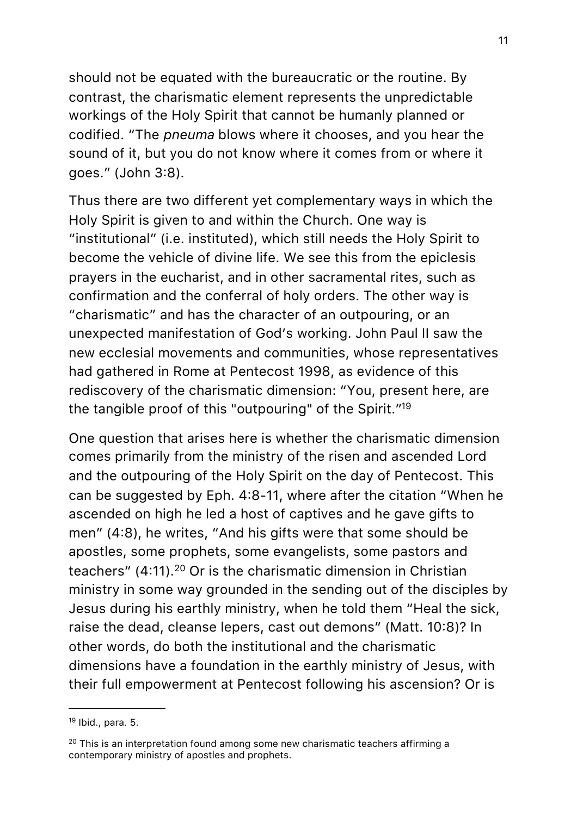should not be equated with the bureaucratic or the routine. By contrast, the charismatic element represents the unpredictable workings of the Holy Spirit that cannot be humanly planned or codified. "The *pneuma* blows where it chooses, and you hear the sound of it, but you do not know where it comes from or where it goes." (John 3:8).

Thus there are two different yet complementary ways in which the Holy Spirit is given to and within the Church. One way is "institutional" (i.e. instituted), which still needs the Holy Spirit to become the vehicle of divine life. We see this from the epiclesis prayers in the eucharist, and in other sacramental rites, such as confirmation and the conferral of holy orders. The other way is "charismatic" and has the character of an outpouring, or an unexpected manifestation of God's working. John Paul II saw the new ecclesial movements and communities, whose representatives had gathered in Rome at Pentecost 1998, as evidence of this rediscovery of the charismatic dimension: "You, present here, are the tangible proof of this "outpouring" of the Spirit.["19](#page-10-0)

One question that arises here is whether the charismatic dimension comes primarily from the ministry of the risen and ascended Lord and the outpouring of the Holy Spirit on the day of Pentecost. This can be suggested by Eph. 4:8-11, where after the citation "When he ascended on high he led a host of captives and he gave gifts to men" (4:8), he writes, "And his gifts were that some should be apostles, some prophets, some evangelists, some pastors and teachers" (4:11).[20](#page-10-1) Or is the charismatic dimension in Christian ministry in some way grounded in the sending out of the disciples by Jesus during his earthly ministry, when he told them "Heal the sick, raise the dead, cleanse lepers, cast out demons" (Matt. 10:8)? In other words, do both the institutional and the charismatic dimensions have a foundation in the earthly ministry of Jesus, with their full empowerment at Pentecost following his ascension? Or is

<span id="page-10-0"></span> $19$  Ibid., para. 5.

<span id="page-10-1"></span> $20$  This is an interpretation found among some new charismatic teachers affirming a contemporary ministry of apostles and prophets.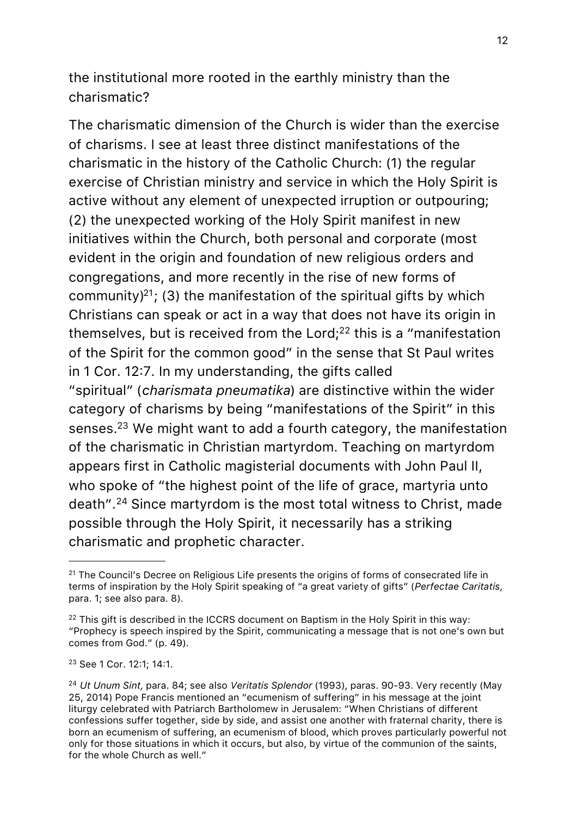the institutional more rooted in the earthly ministry than the charismatic?

The charismatic dimension of the Church is wider than the exercise of charisms. I see at least three distinct manifestations of the charismatic in the history of the Catholic Church: (1) the regular exercise of Christian ministry and service in which the Holy Spirit is active without any element of unexpected irruption or outpouring; (2) the unexpected working of the Holy Spirit manifest in new initiatives within the Church, both personal and corporate (most evident in the origin and foundation of new religious orders and congregations, and more recently in the rise of new forms of community) $21$ ; (3) the manifestation of the spiritual gifts by which Christians can speak or act in a way that does not have its origin in themselves, but is received from the Lord:<sup>22</sup> this is a "manifestation" of the Spirit for the common good" in the sense that St Paul writes in 1 Cor. 12:7. In my understanding, the gifts called

"spiritual" (*charismata pneumatika*) are distinctive within the wider category of charisms by being "manifestations of the Spirit" in this senses[.23](#page-11-2) We might want to add a fourth category, the manifestation of the charismatic in Christian martyrdom. Teaching on martyrdom appears first in Catholic magisterial documents with John Paul II, who spoke of "the highest point of the life of grace, martyria unto death".[24](#page-11-3) Since martyrdom is the most total witness to Christ, made possible through the Holy Spirit, it necessarily has a striking charismatic and prophetic character.

<span id="page-11-0"></span><sup>&</sup>lt;sup>21</sup> The Council's Decree on Religious Life presents the origins of forms of consecrated life in terms of inspiration by the Holy Spirit speaking of "a great variety of gifts" (*Perfectae Caritatis*, para. 1; see also para. 8).

<span id="page-11-1"></span><sup>&</sup>lt;sup>22</sup> This gift is described in the ICCRS document on Baptism in the Holy Spirit in this way: "Prophecy is speech inspired by the Spirit, communicating a message that is not one's own but comes from God." (p. 49).

<span id="page-11-2"></span><sup>23</sup> See 1 Cor. 12:1; 14:1.

<span id="page-11-3"></span><sup>24</sup> *Ut Unum Sint,* para. 84; see also *Veritatis Splendor* (1993), paras. 90-93. Very recently (May 25, 2014) Pope Francis mentioned an "ecumenism of suffering" in his message at the joint liturgy celebrated with Patriarch Bartholomew in Jerusalem: "When Christians of different confessions suffer together, side by side, and assist one another with fraternal charity, there is born an ecumenism of suffering, an ecumenism of blood, which proves particularly powerful not only for those situations in which it occurs, but also, by virtue of the communion of the saints, for the whole Church as well."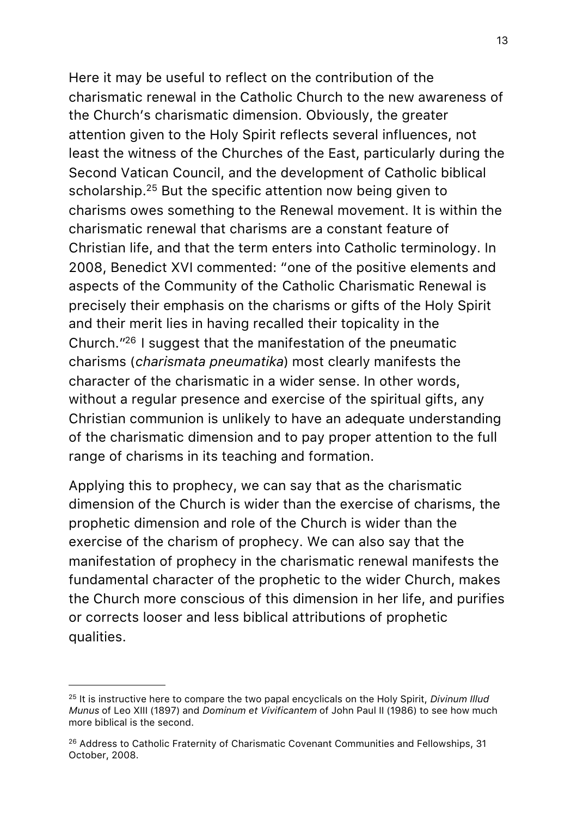Here it may be useful to reflect on the contribution of the charismatic renewal in the Catholic Church to the new awareness of the Church's charismatic dimension. Obviously, the greater attention given to the Holy Spirit reflects several influences, not least the witness of the Churches of the East, particularly during the Second Vatican Council, and the development of Catholic biblical scholarship.<sup>[25](#page-12-0)</sup> But the specific attention now being given to charisms owes something to the Renewal movement. It is within the charismatic renewal that charisms are a constant feature of Christian life, and that the term enters into Catholic terminology. In 2008, Benedict XVI commented: "one of the positive elements and aspects of the Community of the Catholic Charismatic Renewal is precisely their emphasis on the charisms or gifts of the Holy Spirit and their merit lies in having recalled their topicality in the Church.["26](#page-12-1) I suggest that the manifestation of the pneumatic charisms (*charismata pneumatika*) most clearly manifests the character of the charismatic in a wider sense. In other words, without a regular presence and exercise of the spiritual gifts, any Christian communion is unlikely to have an adequate understanding of the charismatic dimension and to pay proper attention to the full range of charisms in its teaching and formation.

Applying this to prophecy, we can say that as the charismatic dimension of the Church is wider than the exercise of charisms, the prophetic dimension and role of the Church is wider than the exercise of the charism of prophecy. We can also say that the manifestation of prophecy in the charismatic renewal manifests the fundamental character of the prophetic to the wider Church, makes the Church more conscious of this dimension in her life, and purifies or corrects looser and less biblical attributions of prophetic qualities.

<span id="page-12-0"></span><sup>25</sup> It is instructive here to compare the two papal encyclicals on the Holy Spirit, *Divinum Illud Munus* of Leo XIII (1897) and *Dominum et Vivificantem* of John Paul II (1986) to see how much more biblical is the second.

<span id="page-12-1"></span><sup>&</sup>lt;sup>26</sup> Address to Catholic Fraternity of Charismatic Covenant Communities and Fellowships, 31 October, 2008.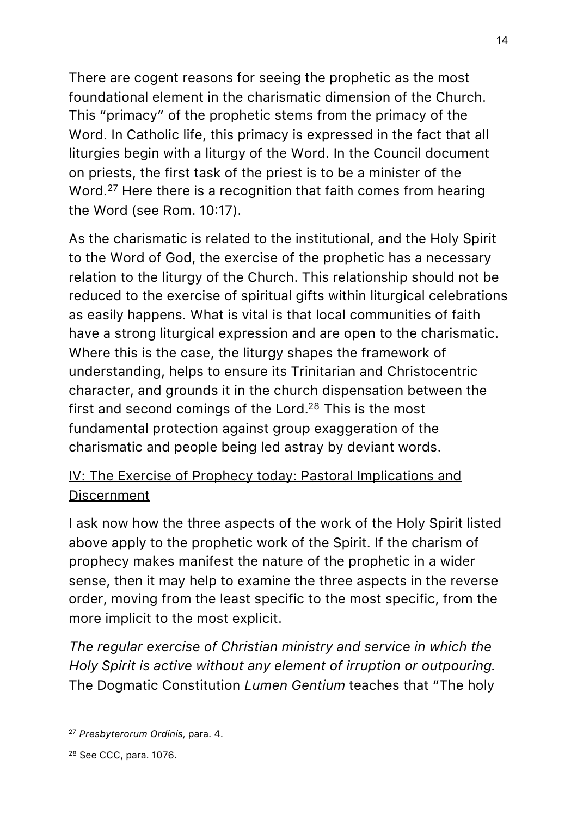There are cogent reasons for seeing the prophetic as the most foundational element in the charismatic dimension of the Church. This "primacy" of the prophetic stems from the primacy of the Word. In Catholic life, this primacy is expressed in the fact that all liturgies begin with a liturgy of the Word. In the Council document on priests, the first task of the priest is to be a minister of the Word.<sup>27</sup> Here there is a recognition that faith comes from hearing the Word (see Rom. 10:17).

As the charismatic is related to the institutional, and the Holy Spirit to the Word of God, the exercise of the prophetic has a necessary relation to the liturgy of the Church. This relationship should not be reduced to the exercise of spiritual gifts within liturgical celebrations as easily happens. What is vital is that local communities of faith have a strong liturgical expression and are open to the charismatic. Where this is the case, the liturgy shapes the framework of understanding, helps to ensure its Trinitarian and Christocentric character, and grounds it in the church dispensation between the first and second comings of the Lord[.28](#page-13-1) This is the most fundamental protection against group exaggeration of the charismatic and people being led astray by deviant words.

# IV: The Exercise of Prophecy today: Pastoral Implications and Discernment

I ask now how the three aspects of the work of the Holy Spirit listed above apply to the prophetic work of the Spirit. If the charism of prophecy makes manifest the nature of the prophetic in a wider sense, then it may help to examine the three aspects in the reverse order, moving from the least specific to the most specific, from the more implicit to the most explicit.

*The regular exercise of Christian ministry and service in which the Holy Spirit is active without any element of irruption or outpouring.* The Dogmatic Constitution *Lumen Gentium* teaches that "The holy

<span id="page-13-0"></span><sup>27</sup> *Presbyterorum Ordinis,* para. 4.

<span id="page-13-1"></span><sup>28</sup> See CCC, para. 1076.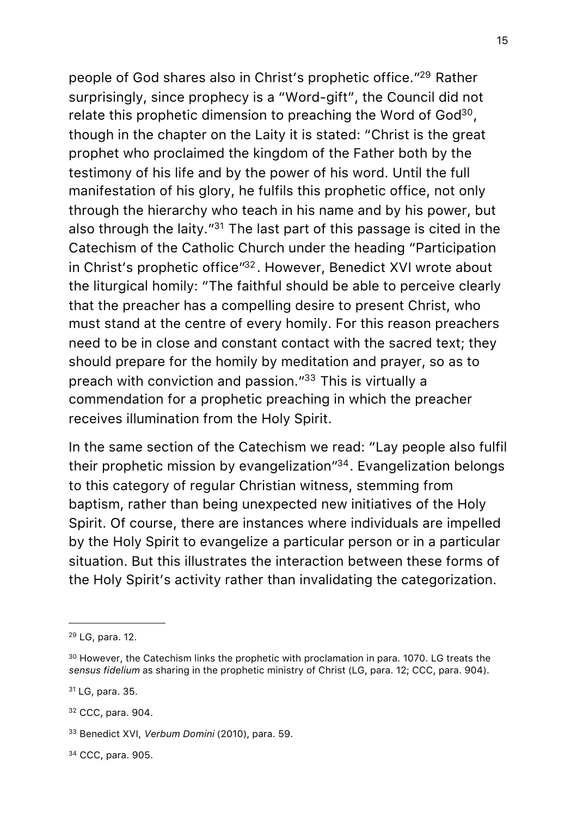people of God shares also in Christ's prophetic office.["29](#page-14-0) Rather surprisingly, since prophecy is a "Word-gift", the Council did not relate this prophetic dimension to preaching the Word of God<sup>30</sup>, though in the chapter on the Laity it is stated: "Christ is the great prophet who proclaimed the kingdom of the Father both by the testimony of his life and by the power of his word. Until the full manifestation of his glory, he fulfils this prophetic office, not only through the hierarchy who teach in his name and by his power, but also through the laity.["31](#page-14-2) The last part of this passage is cited in the Catechism of the Catholic Church under the heading "Participation in Christ's prophetic office["32.](#page-14-3) However, Benedict XVI wrote about the liturgical homily: "The faithful should be able to perceive clearly that the preacher has a compelling desire to present Christ, who must stand at the centre of every homily. For this reason preachers need to be in close and constant contact with the sacred text; they should prepare for the homily by meditation and prayer, so as to preach with conviction and passion.["33](#page-14-4) This is virtually a commendation for a prophetic preaching in which the preacher receives illumination from the Holy Spirit.

In the same section of the Catechism we read: "Lay people also fulfil their prophetic mission by evangelization["34.](#page-14-5) Evangelization belongs to this category of regular Christian witness, stemming from baptism, rather than being unexpected new initiatives of the Holy Spirit. Of course, there are instances where individuals are impelled by the Holy Spirit to evangelize a particular person or in a particular situation. But this illustrates the interaction between these forms of the Holy Spirit's activity rather than invalidating the categorization.

<span id="page-14-2"></span>31 LG, para. 35.

<span id="page-14-3"></span>32 CCC, para. 904.

<span id="page-14-5"></span>34 CCC, para. 905.

<span id="page-14-0"></span><sup>29</sup> LG, para. 12.

<span id="page-14-1"></span> $30$  However, the Catechism links the prophetic with proclamation in para. 1070. LG treats the *sensus fidelium* as sharing in the prophetic ministry of Christ (LG, para. 12; CCC, para. 904).

<span id="page-14-4"></span><sup>33</sup> Benedict XVI, *Verbum Domini* (2010), para. 59.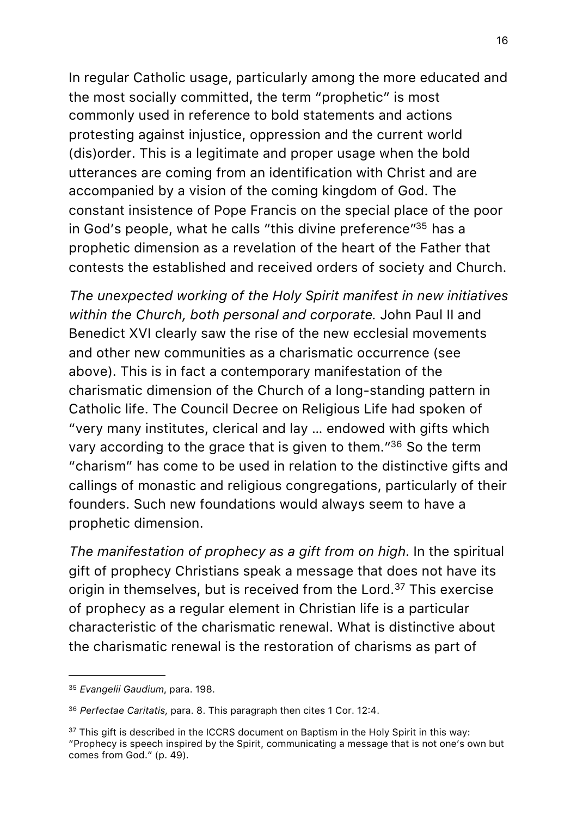In regular Catholic usage, particularly among the more educated and the most socially committed, the term "prophetic" is most commonly used in reference to bold statements and actions protesting against injustice, oppression and the current world (dis)order. This is a legitimate and proper usage when the bold utterances are coming from an identification with Christ and are accompanied by a vision of the coming kingdom of God. The constant insistence of Pope Francis on the special place of the poor in God's people, what he calls "this divine preference"<sup>35</sup> has a prophetic dimension as a revelation of the heart of the Father that contests the established and received orders of society and Church.

*The unexpected working of the Holy Spirit manifest in new initiatives within the Church, both personal and corporate.* John Paul II and Benedict XVI clearly saw the rise of the new ecclesial movements and other new communities as a charismatic occurrence (see above). This is in fact a contemporary manifestation of the charismatic dimension of the Church of a long-standing pattern in Catholic life. The Council Decree on Religious Life had spoken of "very many institutes, clerical and lay … endowed with gifts which vary according to the grace that is given to them.["36](#page-15-1) So the term "charism" has come to be used in relation to the distinctive gifts and callings of monastic and religious congregations, particularly of their founders. Such new foundations would always seem to have a prophetic dimension.

*The manifestation of prophecy as a gift from on high*. In the spiritual gift of prophecy Christians speak a message that does not have its origin in themselves, but is received from the Lord.<sup>37</sup> This exercise of prophecy as a regular element in Christian life is a particular characteristic of the charismatic renewal. What is distinctive about the charismatic renewal is the restoration of charisms as part of

<span id="page-15-0"></span><sup>35</sup> *Evangelii Gaudium*, para. 198.

<span id="page-15-1"></span><sup>36</sup> *Perfectae Caritatis,* para. 8. This paragraph then cites 1 Cor. 12:4.

<span id="page-15-2"></span><sup>&</sup>lt;sup>37</sup> This gift is described in the ICCRS document on Baptism in the Holy Spirit in this way: "Prophecy is speech inspired by the Spirit, communicating a message that is not one's own but comes from God." (p. 49).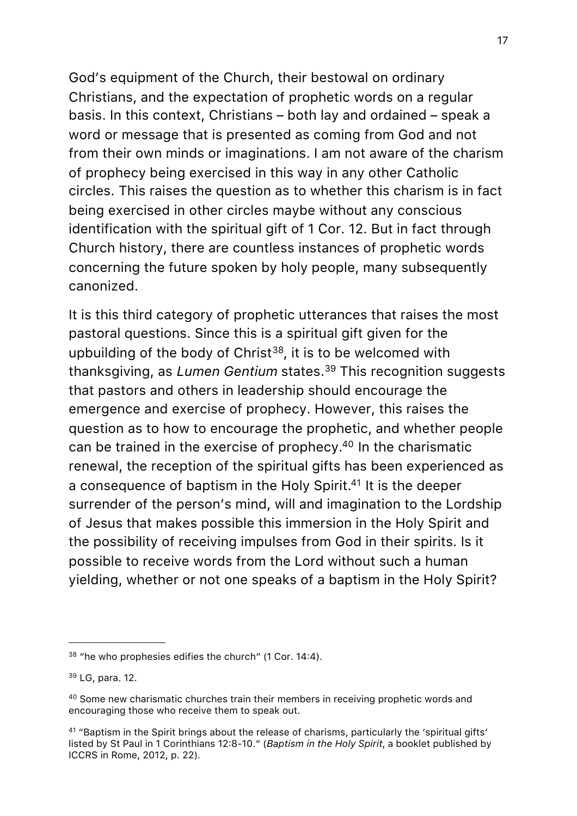God's equipment of the Church, their bestowal on ordinary Christians, and the expectation of prophetic words on a regular basis. In this context, Christians – both lay and ordained – speak a word or message that is presented as coming from God and not from their own minds or imaginations. I am not aware of the charism of prophecy being exercised in this way in any other Catholic circles. This raises the question as to whether this charism is in fact being exercised in other circles maybe without any conscious identification with the spiritual gift of 1 Cor. 12. But in fact through Church history, there are countless instances of prophetic words concerning the future spoken by holy people, many subsequently canonized.

It is this third category of prophetic utterances that raises the most pastoral questions. Since this is a spiritual gift given for the upbuilding of the body of Christ<sup>[38](#page-16-0)</sup>, it is to be welcomed with thanksgiving, as *Lumen Gentium* states.[39](#page-16-1) This recognition suggests that pastors and others in leadership should encourage the emergence and exercise of prophecy. However, this raises the question as to how to encourage the prophetic, and whether people can be trained in the exercise of prophecy[.40](#page-16-2) In the charismatic renewal, the reception of the spiritual gifts has been experienced as a consequence of baptism in the Holy Spirit.<sup>41</sup> It is the deeper surrender of the person's mind, will and imagination to the Lordship of Jesus that makes possible this immersion in the Holy Spirit and the possibility of receiving impulses from God in their spirits. Is it possible to receive words from the Lord without such a human yielding, whether or not one speaks of a baptism in the Holy Spirit?

<span id="page-16-0"></span><sup>38</sup> "he who prophesies edifies the church" (1 Cor. 14:4).

<span id="page-16-1"></span><sup>39</sup> LG, para. 12.

<span id="page-16-2"></span><sup>40</sup> Some new charismatic churches train their members in receiving prophetic words and encouraging those who receive them to speak out.

<span id="page-16-3"></span><sup>&</sup>lt;sup>41</sup> "Baptism in the Spirit brings about the release of charisms, particularly the 'spiritual gifts' listed by St Paul in 1 Corinthians 12:8-10." (*Baptism in the Holy Spirit*, a booklet published by ICCRS in Rome, 2012, p. 22).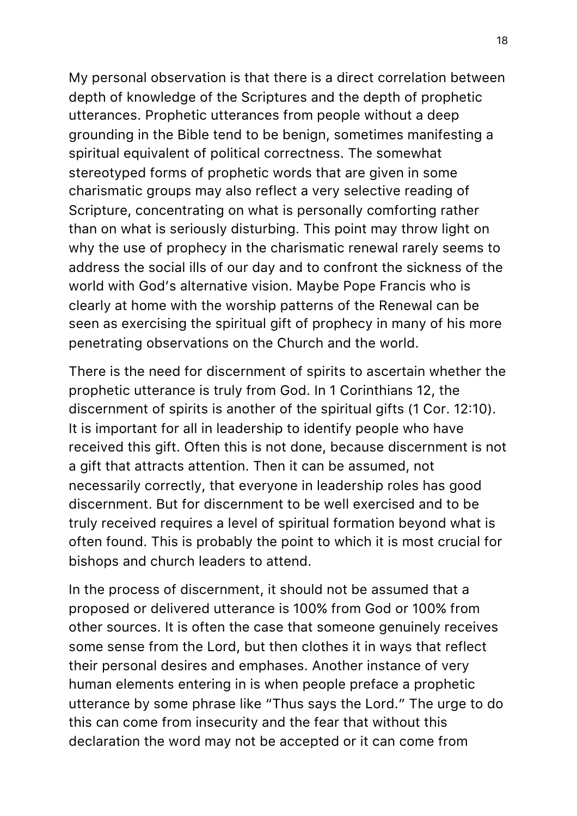My personal observation is that there is a direct correlation between depth of knowledge of the Scriptures and the depth of prophetic utterances. Prophetic utterances from people without a deep grounding in the Bible tend to be benign, sometimes manifesting a spiritual equivalent of political correctness. The somewhat stereotyped forms of prophetic words that are given in some charismatic groups may also reflect a very selective reading of Scripture, concentrating on what is personally comforting rather than on what is seriously disturbing. This point may throw light on why the use of prophecy in the charismatic renewal rarely seems to address the social ills of our day and to confront the sickness of the world with God's alternative vision. Maybe Pope Francis who is clearly at home with the worship patterns of the Renewal can be seen as exercising the spiritual gift of prophecy in many of his more penetrating observations on the Church and the world.

There is the need for discernment of spirits to ascertain whether the prophetic utterance is truly from God. In 1 Corinthians 12, the discernment of spirits is another of the spiritual gifts (1 Cor. 12:10). It is important for all in leadership to identify people who have received this gift. Often this is not done, because discernment is not a gift that attracts attention. Then it can be assumed, not necessarily correctly, that everyone in leadership roles has good discernment. But for discernment to be well exercised and to be truly received requires a level of spiritual formation beyond what is often found. This is probably the point to which it is most crucial for bishops and church leaders to attend.

In the process of discernment, it should not be assumed that a proposed or delivered utterance is 100% from God or 100% from other sources. It is often the case that someone genuinely receives some sense from the Lord, but then clothes it in ways that reflect their personal desires and emphases. Another instance of very human elements entering in is when people preface a prophetic utterance by some phrase like "Thus says the Lord." The urge to do this can come from insecurity and the fear that without this declaration the word may not be accepted or it can come from